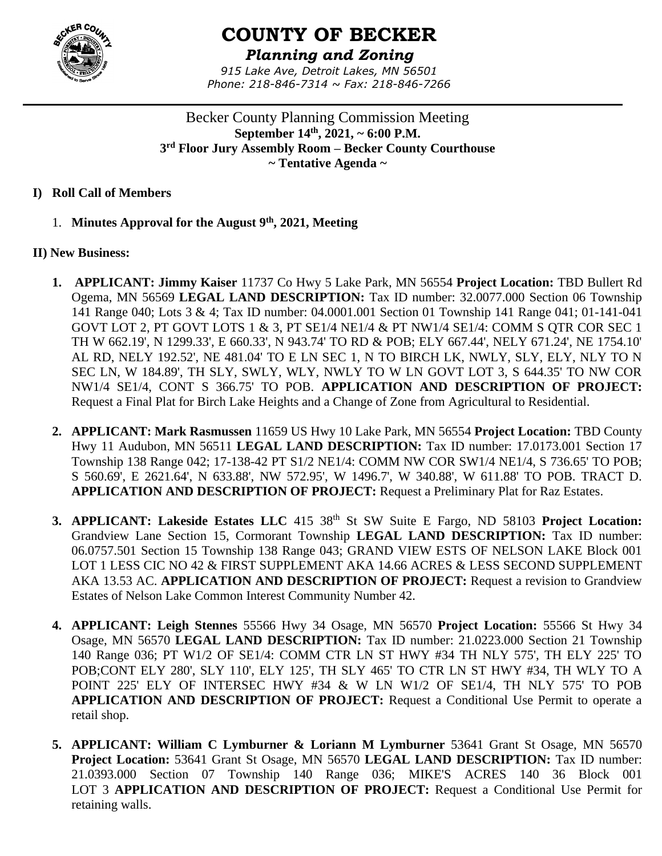

# **COUNTY OF BECKER**

*Planning and Zoning 915 Lake Ave, Detroit Lakes, MN 56501 Phone: 218-846-7314 ~ Fax: 218-846-7266*

Becker County Planning Commission Meeting **September 14th , 2021, ~ 6:00 P.M. 3 rd Floor Jury Assembly Room – Becker County Courthouse ~ Tentative Agenda ~**

## **I) Roll Call of Members**

1. **Minutes Approval for the August 9th , 2021, Meeting**

# **II) New Business:**

- **1. APPLICANT: Jimmy Kaiser** 11737 Co Hwy 5 Lake Park, MN 56554 **Project Location:** TBD Bullert Rd Ogema, MN 56569 **LEGAL LAND DESCRIPTION:** Tax ID number: 32.0077.000 Section 06 Township 141 Range 040; Lots 3 & 4; Tax ID number: 04.0001.001 Section 01 Township 141 Range 041; 01-141-041 GOVT LOT 2, PT GOVT LOTS 1 & 3, PT SE1/4 NE1/4 & PT NW1/4 SE1/4: COMM S QTR COR SEC 1 TH W 662.19', N 1299.33', E 660.33', N 943.74' TO RD & POB; ELY 667.44', NELY 671.24', NE 1754.10' AL RD, NELY 192.52', NE 481.04' TO E LN SEC 1, N TO BIRCH LK, NWLY, SLY, ELY, NLY TO N SEC LN, W 184.89', TH SLY, SWLY, WLY, NWLY TO W LN GOVT LOT 3, S 644.35' TO NW COR NW1/4 SE1/4, CONT S 366.75' TO POB. **APPLICATION AND DESCRIPTION OF PROJECT:**  Request a Final Plat for Birch Lake Heights and a Change of Zone from Agricultural to Residential.
- **2. APPLICANT: Mark Rasmussen** 11659 US Hwy 10 Lake Park, MN 56554 **Project Location:** TBD County Hwy 11 Audubon, MN 56511 **LEGAL LAND DESCRIPTION:** Tax ID number: 17.0173.001 Section 17 Township 138 Range 042; 17-138-42 PT S1/2 NE1/4: COMM NW COR SW1/4 NE1/4, S 736.65' TO POB; S 560.69', E 2621.64', N 633.88', NW 572.95', W 1496.7', W 340.88', W 611.88' TO POB. TRACT D. **APPLICATION AND DESCRIPTION OF PROJECT:** Request a Preliminary Plat for Raz Estates.
- **3. APPLICANT: Lakeside Estates LLC** 415 38th St SW Suite E Fargo, ND 58103 **Project Location:**  Grandview Lane Section 15, Cormorant Township **LEGAL LAND DESCRIPTION:** Tax ID number: 06.0757.501 Section 15 Township 138 Range 043; GRAND VIEW ESTS OF NELSON LAKE Block 001 LOT 1 LESS CIC NO 42 & FIRST SUPPLEMENT AKA 14.66 ACRES & LESS SECOND SUPPLEMENT AKA 13.53 AC. **APPLICATION AND DESCRIPTION OF PROJECT:** Request a revision to Grandview Estates of Nelson Lake Common Interest Community Number 42.
- **4. APPLICANT: Leigh Stennes** 55566 Hwy 34 Osage, MN 56570 **Project Location:** 55566 St Hwy 34 Osage, MN 56570 **LEGAL LAND DESCRIPTION:** Tax ID number: 21.0223.000 Section 21 Township 140 Range 036; PT W1/2 OF SE1/4: COMM CTR LN ST HWY #34 TH NLY 575', TH ELY 225' TO POB;CONT ELY 280', SLY 110', ELY 125', TH SLY 465' TO CTR LN ST HWY #34, TH WLY TO A POINT 225' ELY OF INTERSEC HWY #34 & W LN W1/2 OF SE1/4, TH NLY 575' TO POB **APPLICATION AND DESCRIPTION OF PROJECT:** Request a Conditional Use Permit to operate a retail shop.
- **5. APPLICANT: William C Lymburner & Loriann M Lymburner** 53641 Grant St Osage, MN 56570 **Project Location:** 53641 Grant St Osage, MN 56570 **LEGAL LAND DESCRIPTION:** Tax ID number: 21.0393.000 Section 07 Township 140 Range 036; MIKE'S ACRES 140 36 Block 001 LOT 3 **APPLICATION AND DESCRIPTION OF PROJECT:** Request a Conditional Use Permit for retaining walls.